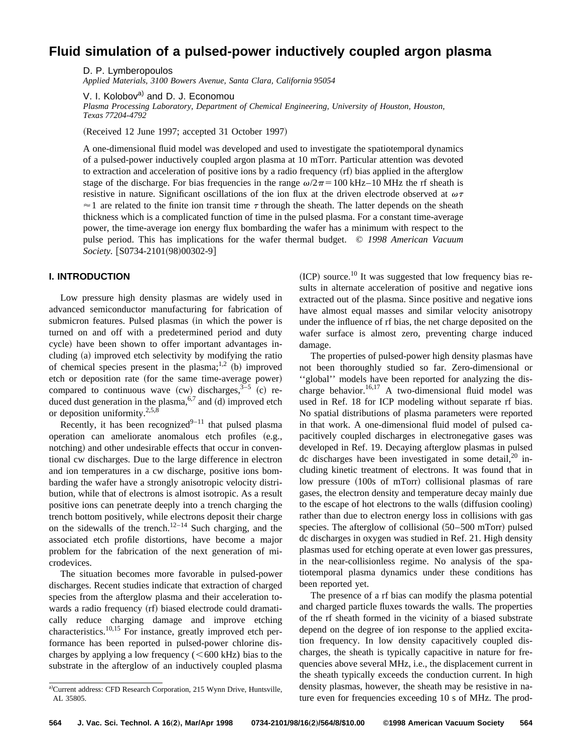# **Fluid simulation of a pulsed-power inductively coupled argon plasma**

D. P. Lymberopoulos *Applied Materials, 3100 Bowers Avenue, Santa Clara, California 95054*

V. I. Kolobov<sup>a)</sup> and D. J. Economou

*Plasma Processing Laboratory, Department of Chemical Engineering, University of Houston, Houston, Texas 77204-4792*

(Received 12 June 1997; accepted 31 October 1997)

A one-dimensional fluid model was developed and used to investigate the spatiotemporal dynamics of a pulsed-power inductively coupled argon plasma at 10 mTorr. Particular attention was devoted to extraction and acceleration of positive ions by a radio frequency (rf) bias applied in the afterglow stage of the discharge. For bias frequencies in the range  $\omega/2\pi=100$  kHz–10 MHz the rf sheath is resistive in nature. Significant oscillations of the ion flux at the driven electrode observed at  $\omega \tau$  $\approx$  1 are related to the finite ion transit time  $\tau$  through the sheath. The latter depends on the sheath thickness which is a complicated function of time in the pulsed plasma. For a constant time-average power, the time-average ion energy flux bombarding the wafer has a minimum with respect to the pulse period. This has implications for the wafer thermal budget. © *1998 American Vacuum Society.* [S0734-2101(98)00302-9]

### **I. INTRODUCTION**

Low pressure high density plasmas are widely used in advanced semiconductor manufacturing for fabrication of submicron features. Pulsed plasmas (in which the power is turned on and off with a predetermined period and duty cycle) have been shown to offer important advantages including (a) improved etch selectivity by modifying the ratio of chemical species present in the plasma;<sup>1,2</sup> (b) improved etch or deposition rate (for the same time-average power) compared to continuous wave  $(cw)$  discharges,  $3-5$   $(c)$  reduced dust generation in the plasma,  $6,7$  and (d) improved etch or deposition uniformity.<sup>2,5,8</sup>

Recently, it has been recognized<sup>9–11</sup> that pulsed plasma operation can ameliorate anomalous etch profiles  $(e.g.,)$ notching) and other undesirable effects that occur in conventional cw discharges. Due to the large difference in electron and ion temperatures in a cw discharge, positive ions bombarding the wafer have a strongly anisotropic velocity distribution, while that of electrons is almost isotropic. As a result positive ions can penetrate deeply into a trench charging the trench bottom positively, while electrons deposit their charge on the sidewalls of the trench.<sup>12–14</sup> Such charging, and the associated etch profile distortions, have become a major problem for the fabrication of the next generation of microdevices.

The situation becomes more favorable in pulsed-power discharges. Recent studies indicate that extraction of charged species from the afterglow plasma and their acceleration towards a radio frequency (rf) biased electrode could dramatically reduce charging damage and improve etching characteristics.10,15 For instance, greatly improved etch performance has been reported in pulsed-power chlorine discharges by applying a low frequency  $(<600$  kHz) bias to the substrate in the afterglow of an inductively coupled plasma  $~(ICP)$  source.<sup>10</sup> It was suggested that low frequency bias results in alternate acceleration of positive and negative ions extracted out of the plasma. Since positive and negative ions have almost equal masses and similar velocity anisotropy under the influence of rf bias, the net charge deposited on the wafer surface is almost zero, preventing charge induced damage.

The properties of pulsed-power high density plasmas have not been thoroughly studied so far. Zero-dimensional or ''global'' models have been reported for analyzing the discharge behavior.<sup>16,17</sup> A two-dimensional fluid model was used in Ref. 18 for ICP modeling without separate rf bias. No spatial distributions of plasma parameters were reported in that work. A one-dimensional fluid model of pulsed capacitively coupled discharges in electronegative gases was developed in Ref. 19. Decaying afterglow plasmas in pulsed dc discharges have been investigated in some detail,  $20$  including kinetic treatment of electrons. It was found that in low pressure (100s of mTorr) collisional plasmas of rare gases, the electron density and temperature decay mainly due to the escape of hot electrons to the walls (diffusion cooling) rather than due to electron energy loss in collisions with gas species. The afterglow of collisional  $(50–500$  mTorr) pulsed dc discharges in oxygen was studied in Ref. 21. High density plasmas used for etching operate at even lower gas pressures, in the near-collisionless regime. No analysis of the spatiotemporal plasma dynamics under these conditions has been reported yet.

The presence of a rf bias can modify the plasma potential and charged particle fluxes towards the walls. The properties of the rf sheath formed in the vicinity of a biased substrate depend on the degree of ion response to the applied excitation frequency. In low density capacitively coupled discharges, the sheath is typically capacitive in nature for frequencies above several MHz, i.e., the displacement current in the sheath typically exceeds the conduction current. In high density plasmas, however, the sheath may be resistive in nature even for frequencies exceeding 10 s of MHz. The prod-

a)Current address: CFD Research Corporation, 215 Wynn Drive, Huntsville, AL 35805.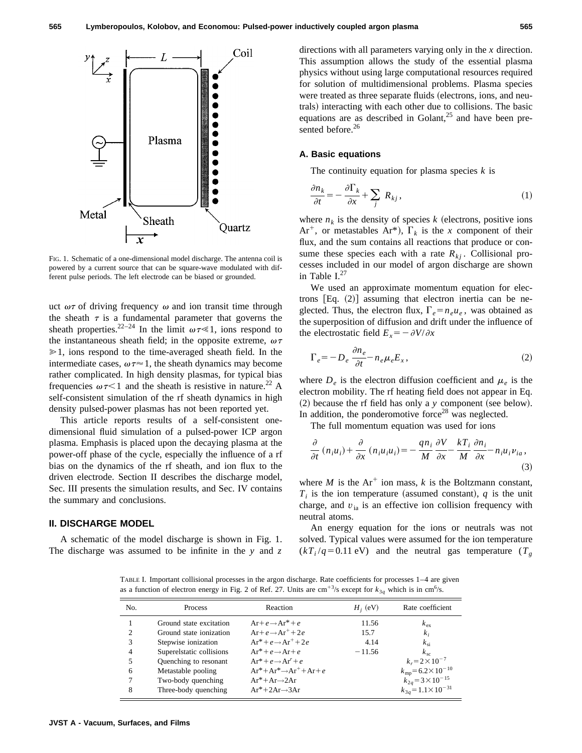

FIG. 1. Schematic of a one-dimensional model discharge. The antenna coil is powered by a current source that can be square-wave modulated with different pulse periods. The left electrode can be biased or grounded.

uct  $\omega\tau$  of driving frequency  $\omega$  and ion transit time through the sheath  $\tau$  is a fundamental parameter that governs the sheath properties.<sup>22–24</sup> In the limit  $\omega \tau \ll 1$ , ions respond to the instantaneous sheath field; in the opposite extreme,  $\omega\tau$  $\geq 1$ , ions respond to the time-averaged sheath field. In the intermediate cases,  $\omega \tau \approx 1$ , the sheath dynamics may become rather complicated. In high density plasmas, for typical bias frequencies  $\omega \tau < 1$  and the sheath is resistive in nature.<sup>22</sup> A self-consistent simulation of the rf sheath dynamics in high density pulsed-power plasmas has not been reported yet.

This article reports results of a self-consistent onedimensional fluid simulation of a pulsed-power ICP argon plasma. Emphasis is placed upon the decaying plasma at the power-off phase of the cycle, especially the influence of a rf bias on the dynamics of the rf sheath, and ion flux to the driven electrode. Section II describes the discharge model, Sec. III presents the simulation results, and Sec. IV contains the summary and conclusions.

### **II. DISCHARGE MODEL**

A schematic of the model discharge is shown in Fig. 1. The discharge was assumed to be infinite in the *y* and *z* directions with all parameters varying only in the *x* direction. This assumption allows the study of the essential plasma physics without using large computational resources required for solution of multidimensional problems. Plasma species were treated as three separate fluids (electrons, ions, and neutrals) interacting with each other due to collisions. The basic equations are as described in Golant, $^{25}$  and have been presented before.<sup>26</sup>

#### **A. Basic equations**

The continuity equation for plasma species *k* is

$$
\frac{\partial n_k}{\partial t} = -\frac{\partial \Gamma_k}{\partial x} + \sum_j R_{kj},\tag{1}
$$

where  $n_k$  is the density of species  $k$  (electrons, positive ions Ar<sup>+</sup>, or metastables Ar<sup>\*</sup>),  $\Gamma_k$  is the *x* component of their flux, and the sum contains all reactions that produce or consume these species each with a rate  $R_{ki}$ . Collisional processes included in our model of argon discharge are shown in Table  $I^{27}$ 

We used an approximate momentum equation for electrons  $[Eq. (2)]$  assuming that electron inertia can be neglected. Thus, the electron flux,  $\Gamma_e = n_e u_e$ , was obtained as the superposition of diffusion and drift under the influence of the electrostatic field  $E_x = -\frac{\partial V}{\partial x}$ 

$$
\Gamma_e = -D_e \frac{\partial n_e}{\partial t} - n_e \mu_e E_x, \qquad (2)
$$

where  $D_e$  is the electron diffusion coefficient and  $\mu_e$  is the electron mobility. The rf heating field does not appear in Eq.  $(2)$  because the rf field has only a *y* component (see below). In addition, the ponderomotive force<sup>28</sup> was neglected.

The full momentum equation was used for ions

$$
\frac{\partial}{\partial t} (n_i u_i) + \frac{\partial}{\partial x} (n_i u_i u_i) = -\frac{q n_i}{M} \frac{\partial V}{\partial x} - \frac{k T_i}{M} \frac{\partial n_i}{\partial x} - n_i u_i v_{ia},\tag{3}
$$

where *M* is the  $Ar^+$  ion mass, *k* is the Boltzmann constant,  $T_i$  is the ion temperature (assumed constant),  $q$  is the unit charge, and  $v_{ia}$  is an effective ion collision frequency with neutral atoms.

An energy equation for the ions or neutrals was not solved. Typical values were assumed for the ion temperature  $(kT_i/q=0.11 \text{ eV})$  and the neutral gas temperature  $(T_g$ 

TABLE I. Important collisional processes in the argon discharge. Rate coefficients for processes 1–4 are given as a function of electron energy in Fig. 2 of Ref. 27. Units are  $\text{cm}^{+3}/\text{s}$  except for  $k_{3q}$  which is in  $\text{cm}^{6}/\text{s}$ .

| No. | <b>Process</b>           | Reaction                                | $H_i$ (eV) | Rate coefficient                   |
|-----|--------------------------|-----------------------------------------|------------|------------------------------------|
|     | Ground state excitation  | $Ar + e \rightarrow Ar^* + e$           | 11.56      | $k_{\rm ex}$                       |
| 2   | Ground state ionization  | $Ar+e \rightarrow Ar^+ + 2e$            | 15.7       | $k_i$                              |
| 3   | Stepwise ionization      | $Ar^* + e \rightarrow Ar^+ + 2e$        | 4.14       | $k_{si}$                           |
| 4   | Superelstatic collisions | $Ar^* + e \rightarrow Ar + e$           | $-11.56$   | $k_{sc}$                           |
| 5   | Quenching to resonant    | $Ar^* + e \rightarrow Ar' + e$          |            | $k_r = 2 \times 10^{-7}$           |
| 6   | Metastable pooling       | $Ar^* + Ar^* \rightarrow Ar^+ + Ar + e$ |            | $k_{\rm mp} = 6.2 \times 10^{-10}$ |
| 7   | Two-body quenching       | $Ar^* + Ar \rightarrow 2Ar$             |            | $k_{2q} = 3 \times 10^{-15}$       |
| 8   | Three-body quenching     | $Ar^*+2Ar \rightarrow 3Ar$              |            | $k_{3q} = 1.1 \times 10^{-31}$     |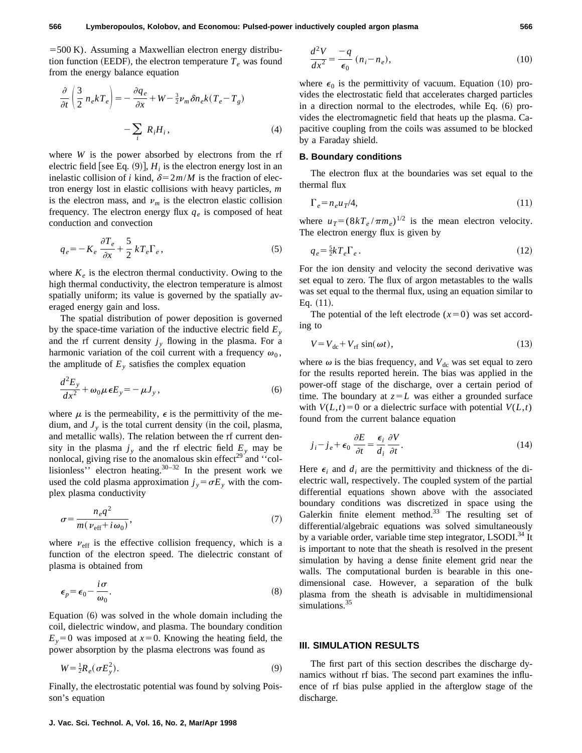$=500$  K). Assuming a Maxwellian electron energy distribution function (EEDF), the electron temperature  $T_e$  was found from the energy balance equation

$$
\frac{\partial}{\partial t} \left( \frac{3}{2} n_e k T_e \right) = -\frac{\partial q_e}{\partial x} + W - \frac{3}{2} \nu_m \delta n_e k (T_e - T_g)
$$

$$
- \sum_i R_i H_i, \tag{4}
$$

where *W* is the power absorbed by electrons from the rf electric field [see Eq.  $(9)$ ],  $H_i$  is the electron energy lost in an inelastic collision of *i* kind,  $\delta = 2m/M$  is the fraction of electron energy lost in elastic collisions with heavy particles, *m* is the electron mass, and  $\nu_m$  is the electron elastic collision frequency. The electron energy flux  $q_e$  is composed of heat conduction and convection

$$
q_e = -K_e \frac{\partial T_e}{\partial x} + \frac{5}{2} kT_e \Gamma_e, \qquad (5)
$$

where  $K_e$  is the electron thermal conductivity. Owing to the high thermal conductivity, the electron temperature is almost spatially uniform; its value is governed by the spatially averaged energy gain and loss.

The spatial distribution of power deposition is governed by the space-time variation of the inductive electric field  $E_y$ and the rf current density  $j<sub>y</sub>$  flowing in the plasma. For a harmonic variation of the coil current with a frequency  $\omega_0$ , the amplitude of  $E_y$  satisfies the complex equation

$$
\frac{d^2E_y}{dx^2} + \omega_0 \mu \epsilon E_y = -\mu J_y, \qquad (6)
$$

where  $\mu$  is the permeability,  $\epsilon$  is the permittivity of the medium, and  $J_{y}$  is the total current density (in the coil, plasma, and metallic walls). The relation between the rf current density in the plasma  $j<sub>y</sub>$  and the rf electric field  $E<sub>y</sub>$  may be nonlocal, giving rise to the anomalous skin effect<sup>29</sup> and "collisionless'' electron heating. $30-32$  In the present work we used the cold plasma approximation  $j_y = \sigma E_y$  with the complex plasma conductivity

$$
\sigma = \frac{n_e q^2}{m(\nu_{\text{eff}} + i\omega_0)},\tag{7}
$$

where  $v_{\text{eff}}$  is the effective collision frequency, which is a function of the electron speed. The dielectric constant of plasma is obtained from

$$
\epsilon_p = \epsilon_0 - \frac{i\sigma}{\omega_0}.\tag{8}
$$

Equation  $(6)$  was solved in the whole domain including the coil, dielectric window, and plasma. The boundary condition  $E_y=0$  was imposed at  $x=0$ . Knowing the heating field, the power absorption by the plasma electrons was found as

$$
W = \frac{1}{2}R_e(\sigma E_y^2). \tag{9}
$$

Finally, the electrostatic potential was found by solving Poisson's equation

$$
\frac{d^2V}{dx^2} = -q \over \epsilon_0 \ (n_i - n_e),\tag{10}
$$

where  $\epsilon_0$  is the permittivity of vacuum. Equation (10) provides the electrostatic field that accelerates charged particles in a direction normal to the electrodes, while Eq.  $(6)$  provides the electromagnetic field that heats up the plasma. Capacitive coupling from the coils was assumed to be blocked by a Faraday shield.

### **B. Boundary conditions**

The electron flux at the boundaries was set equal to the thermal flux

$$
\Gamma_e = n_e u_T / 4,\tag{11}
$$

where  $u_T = (8kT_e / \pi m_e)^{1/2}$  is the mean electron velocity. The electron energy flux is given by

$$
q_e = \frac{5}{2}kT_e\Gamma_e \,. \tag{12}
$$

For the ion density and velocity the second derivative was set equal to zero. The flux of argon metastables to the walls was set equal to the thermal flux, using an equation similar to Eq.  $(11)$ .

The potential of the left electrode  $(x=0)$  was set according to

$$
V = V_{\text{dc}} + V_{\text{rf}} \sin(\omega t),\tag{13}
$$

where  $\omega$  is the bias frequency, and  $V_{dc}$  was set equal to zero for the results reported herein. The bias was applied in the power-off stage of the discharge, over a certain period of time. The boundary at  $z = L$  was either a grounded surface with  $V(L,t) = 0$  or a dielectric surface with potential  $V(L,t)$ found from the current balance equation

$$
j_i - j_e + \epsilon_0 \frac{\partial E}{\partial t} = \frac{\epsilon_i}{d_i} \frac{\partial V}{\partial t}.
$$
 (14)

Here  $\epsilon_i$  and  $d_i$  are the permittivity and thickness of the dielectric wall, respectively. The coupled system of the partial differential equations shown above with the associated boundary conditions was discretized in space using the Galerkin finite element method.<sup>33</sup> The resulting set of differential/algebraic equations was solved simultaneously by a variable order, variable time step integrator, LSODI.<sup>34</sup> It is important to note that the sheath is resolved in the present simulation by having a dense finite element grid near the walls. The computational burden is bearable in this onedimensional case. However, a separation of the bulk plasma from the sheath is advisable in multidimensional simulations.<sup>35</sup>

### **III. SIMULATION RESULTS**

The first part of this section describes the discharge dynamics without rf bias. The second part examines the influence of rf bias pulse applied in the afterglow stage of the discharge.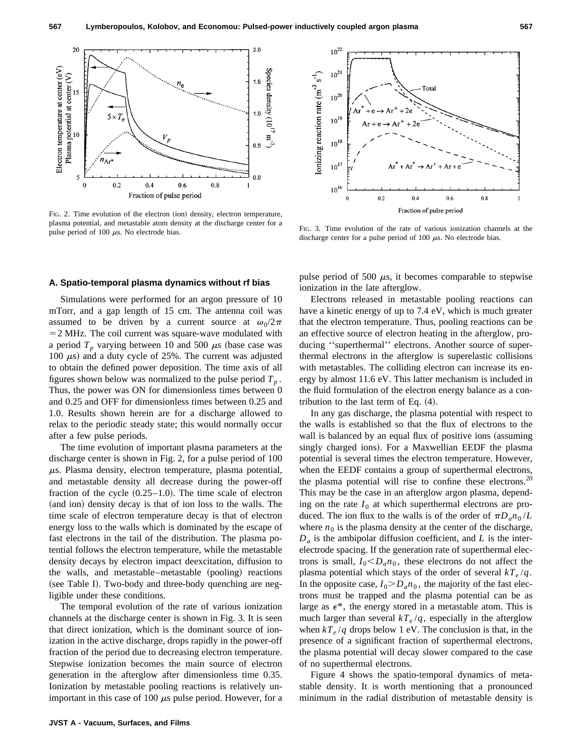

FIG. 2. Time evolution of the electron (ion) density, electron temperature, plasma potential, and metastable atom density at the discharge center for a pulse period of 100  $\mu$ s. No electrode bias. FIG. 3. Time evolution of the rate of various ionization channels at the pulse period of 100  $\mu$ s. No electrode bias.

#### **A. Spatio-temporal plasma dynamics without rf bias**

Simulations were performed for an argon pressure of 10 mTorr, and a gap length of 15 cm. The antenna coil was assumed to be driven by a current source at  $\omega_0/2\pi$  $=$  2 MHz. The coil current was square-wave modulated with a period  $T_p$  varying between 10 and 500  $\mu$ s (base case was 100  $\mu$ s) and a duty cycle of 25%. The current was adjusted to obtain the defined power deposition. The time axis of all figures shown below was normalized to the pulse period  $T_p$ . Thus, the power was ON for dimensionless times between 0 and 0.25 and OFF for dimensionless times between 0.25 and 1.0. Results shown herein are for a discharge allowed to relax to the periodic steady state; this would normally occur after a few pulse periods.

The time evolution of important plasma parameters at the discharge center is shown in Fig. 2, for a pulse period of 100  $\mu$ s. Plasma density, electron temperature, plasma potential, and metastable density all decrease during the power-off fraction of the cycle  $(0.25-1.0)$ . The time scale of electron (and ion) density decay is that of ion loss to the walls. The time scale of electron temperature decay is that of electron energy loss to the walls which is dominated by the escape of fast electrons in the tail of the distribution. The plasma potential follows the electron temperature, while the metastable density decays by electron impact deexcitation, diffusion to the walls, and metastable–metastable (pooling) reactions (see Table I). Two-body and three-body quenching are negligible under these conditions.

The temporal evolution of the rate of various ionization channels at the discharge center is shown in Fig. 3. It is seen that direct ionization, which is the dominant source of ionization in the active discharge, drops rapidly in the power-off fraction of the period due to decreasing electron temperature. Stepwise ionization becomes the main source of electron generation in the afterglow after dimensionless time 0.35. Ionization by metastable pooling reactions is relatively unimportant in this case of 100  $\mu$ s pulse period. However, for a



pulse period of 500  $\mu$ s, it becomes comparable to stepwise ionization in the late afterglow.

discharge center for a pulse period of 100  $\mu$ s. No electrode bias.

Electrons released in metastable pooling reactions can have a kinetic energy of up to 7.4 eV, which is much greater that the electron temperature. Thus, pooling reactions can be an effective source of electron heating in the afterglow, producing ''superthermal'' electrons. Another source of superthermal electrons in the afterglow is superelastic collisions with metastables. The colliding electron can increase its energy by almost 11.6 eV. This latter mechanism is included in the fluid formulation of the electron energy balance as a contribution to the last term of Eq.  $(4)$ .

In any gas discharge, the plasma potential with respect to the walls is established so that the flux of electrons to the wall is balanced by an equal flux of positive ions (assuming singly charged ions). For a Maxwellian EEDF the plasma potential is several times the electron temperature. However, when the EEDF contains a group of superthermal electrons, the plasma potential will rise to confine these electrons.<sup>20</sup> This may be the case in an afterglow argon plasma, depending on the rate  $I_0$  at which superthermal electrons are produced. The ion flux to the walls is of the order of  $\pi D_a n_0 / L$ where  $n_0$  is the plasma density at the center of the discharge,  $D_a$  is the ambipolar diffusion coefficient, and *L* is the interelectrode spacing. If the generation rate of superthermal electrons is small,  $I_0 < D_a n_0$ , these electrons do not affect the plasma potential which stays of the order of several  $kT_e/q$ . In the opposite case,  $I_0 > D_a n_0$ , the majority of the fast electrons must be trapped and the plasma potential can be as large as  $\epsilon^*$ , the energy stored in a metastable atom. This is much larger than several  $kT_e/q$ , especially in the afterglow when  $kT_e/q$  drops below 1 eV. The conclusion is that, in the presence of a significant fraction of superthermal electrons, the plasma potential will decay slower compared to the case of no superthermal electrons.

Figure 4 shows the spatio-temporal dynamics of metastable density. It is worth mentioning that a pronounced minimum in the radial distribution of metastable density is



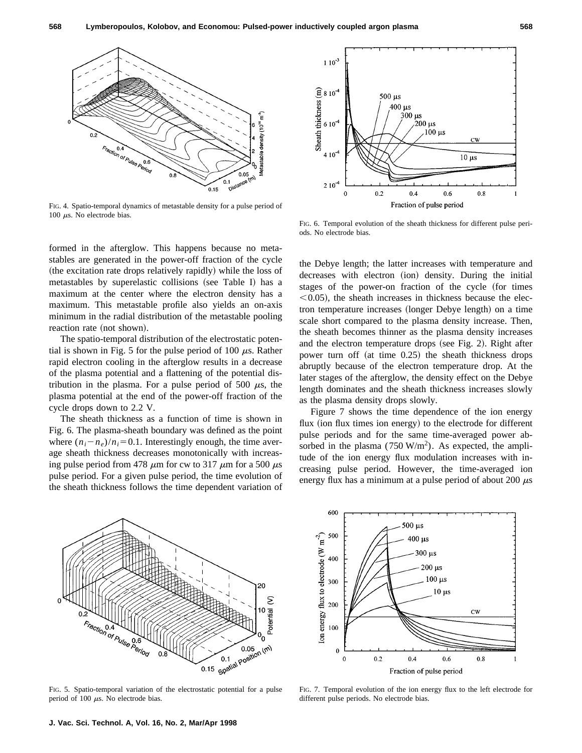

FIG. 4. Spatio-temporal dynamics of metastable density for a pulse period of 100  $\mu$ s. No electrode bias.

formed in the afterglow. This happens because no metastables are generated in the power-off fraction of the cycle (the excitation rate drops relatively rapidly) while the loss of metastables by superelastic collisions (see Table I) has a maximum at the center where the electron density has a maximum. This metastable profile also yields an on-axis minimum in the radial distribution of the metastable pooling reaction rate (not shown).

The spatio-temporal distribution of the electrostatic potential is shown in Fig. 5 for the pulse period of 100  $\mu$ s. Rather rapid electron cooling in the afterglow results in a decrease of the plasma potential and a flattening of the potential distribution in the plasma. For a pulse period of 500  $\mu$ s, the plasma potential at the end of the power-off fraction of the cycle drops down to 2.2 V.

The sheath thickness as a function of time is shown in Fig. 6. The plasma-sheath boundary was defined as the point where  $(n_i - n_e)/n_i = 0.1$ . Interestingly enough, the time average sheath thickness decreases monotonically with increasing pulse period from 478  $\mu$ m for cw to 317  $\mu$ m for a 500  $\mu$ s pulse period. For a given pulse period, the time evolution of the sheath thickness follows the time dependent variation of



FIG. 6. Temporal evolution of the sheath thickness for different pulse periods. No electrode bias.

the Debye length; the latter increases with temperature and decreases with electron (ion) density. During the initial stages of the power-on fraction of the cycle (for times  $\leq$  0.05), the sheath increases in thickness because the electron temperature increases (longer Debye length) on a time scale short compared to the plasma density increase. Then, the sheath becomes thinner as the plasma density increases and the electron temperature drops (see Fig. 2). Right after power turn off  $(at time 0.25)$  the sheath thickness drops abruptly because of the electron temperature drop. At the later stages of the afterglow, the density effect on the Debye length dominates and the sheath thickness increases slowly as the plasma density drops slowly.

Figure 7 shows the time dependence of the ion energy flux (ion flux times ion energy) to the electrode for different pulse periods and for the same time-averaged power absorbed in the plasma  $(750 \text{ W/m}^2)$ . As expected, the amplitude of the ion energy flux modulation increases with increasing pulse period. However, the time-averaged ion energy flux has a minimum at a pulse period of about 200  $\mu$ s



FIG. 5. Spatio-temporal variation of the electrostatic potential for a pulse period of 100  $\mu$ s. No electrode bias.



FIG. 7. Temporal evolution of the ion energy flux to the left electrode for different pulse periods. No electrode bias.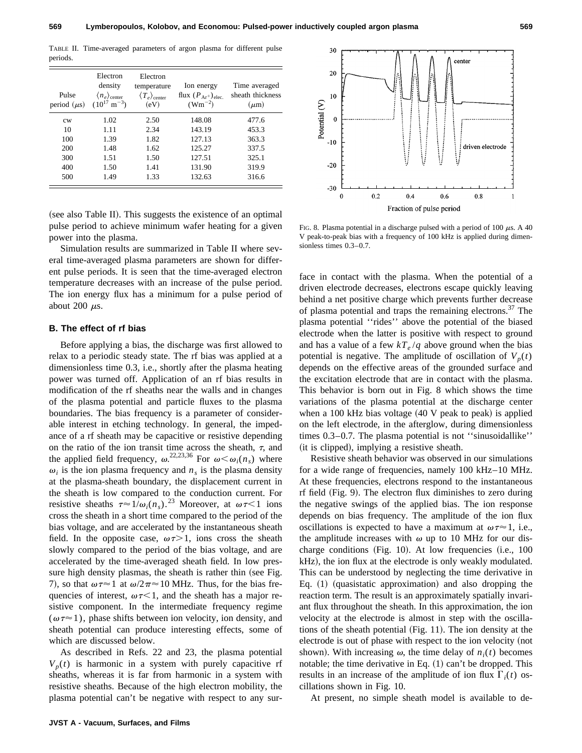TABLE II. Time-averaged parameters of argon plasma for different pulse periods.

| Pulse<br>period $(\mu s)$ | Electron<br>density<br>$\langle n_e \rangle$ <sub>center</sub><br>$(10^{17} \text{ m}^{-3})$ | Electron<br>temperature<br>$\langle T_e \rangle$ center<br>(eV) | Ion energy<br>flux $(P_{Ar^+})_{elec.}$<br>$(Wm^{-2})$ | Time averaged<br>sheath thickness<br>$(\mu m)$ |
|---------------------------|----------------------------------------------------------------------------------------------|-----------------------------------------------------------------|--------------------------------------------------------|------------------------------------------------|
| cw                        | 1.02                                                                                         | 2.50                                                            | 148.08                                                 | 477.6                                          |
| 10                        | 1.11                                                                                         | 2.34                                                            | 143.19                                                 | 453.3                                          |
| 100                       | 1.39                                                                                         | 1.82                                                            | 127.13                                                 | 363.3                                          |
| 200                       | 1.48                                                                                         | 1.62                                                            | 125.27                                                 | 337.5                                          |
| 300                       | 1.51                                                                                         | 1.50                                                            | 127.51                                                 | 325.1                                          |
| 400                       | 1.50                                                                                         | 1.41                                                            | 131.90                                                 | 319.9                                          |
| 500                       | 1.49                                                                                         | 1.33                                                            | 132.63                                                 | 316.6                                          |

 $($ see also Table II). This suggests the existence of an optimal pulse period to achieve minimum wafer heating for a given power into the plasma.

Simulation results are summarized in Table II where several time-averaged plasma parameters are shown for different pulse periods. It is seen that the time-averaged electron temperature decreases with an increase of the pulse period. The ion energy flux has a minimum for a pulse period of about 200  $\mu$ s.

### **B. The effect of rf bias**

Before applying a bias, the discharge was first allowed to relax to a periodic steady state. The rf bias was applied at a dimensionless time 0.3, i.e., shortly after the plasma heating power was turned off. Application of an rf bias results in modification of the rf sheaths near the walls and in changes of the plasma potential and particle fluxes to the plasma boundaries. The bias frequency is a parameter of considerable interest in etching technology. In general, the impedance of a rf sheath may be capacitive or resistive depending on the ratio of the ion transit time across the sheath,  $\tau$ , and the applied field frequency,  $\omega^{22,23,36}$  For  $\omega \leq \omega_i(n_s)$  where  $\omega_i$  is the ion plasma frequency and  $n_s$  is the plasma density at the plasma-sheath boundary, the displacement current in the sheath is low compared to the conduction current. For resistive sheaths  $\tau \approx 1/\omega_i(n_s)$ .<sup>23</sup> Moreover, at  $\omega \tau \leq 1$  ions cross the sheath in a short time compared to the period of the bias voltage, and are accelerated by the instantaneous sheath field. In the opposite case,  $\omega \tau > 1$ , ions cross the sheath slowly compared to the period of the bias voltage, and are accelerated by the time-averaged sheath field. In low pressure high density plasmas, the sheath is rather thin (see Fig. 7), so that  $\omega \tau \approx 1$  at  $\omega/2\pi \approx 10$  MHz. Thus, for the bias frequencies of interest,  $\omega \tau \leq 1$ , and the sheath has a major resistive component. In the intermediate frequency regime  $(\omega \tau \approx 1)$ , phase shifts between ion velocity, ion density, and sheath potential can produce interesting effects, some of which are discussed below.

As described in Refs. 22 and 23, the plasma potential  $V_p(t)$  is harmonic in a system with purely capacitive rf sheaths, whereas it is far from harmonic in a system with resistive sheaths. Because of the high electron mobility, the plasma potential can't be negative with respect to any sur-



FIG. 8. Plasma potential in a discharge pulsed with a period of 100  $\mu$ s. A 40 V peak-to-peak bias with a frequency of 100 kHz is applied during dimensionless times 0.3–0.7.

face in contact with the plasma. When the potential of a driven electrode decreases, electrons escape quickly leaving behind a net positive charge which prevents further decrease of plasma potential and traps the remaining electrons.<sup>37</sup> The plasma potential ''rides'' above the potential of the biased electrode when the latter is positive with respect to ground and has a value of a few  $kT_e/q$  above ground when the bias potential is negative. The amplitude of oscillation of  $V_p(t)$ depends on the effective areas of the grounded surface and the excitation electrode that are in contact with the plasma. This behavior is born out in Fig. 8 which shows the time variations of the plasma potential at the discharge center when a 100 kHz bias voltage  $(40 V$  peak to peak) is applied on the left electrode, in the afterglow, during dimensionless times 0.3–0.7. The plasma potential is not ''sinusoidallike'' (it is clipped), implying a resistive sheath.

Resistive sheath behavior was observed in our simulations for a wide range of frequencies, namely 100 kHz–10 MHz. At these frequencies, electrons respond to the instantaneous  $r$ f field (Fig. 9). The electron flux diminishes to zero during the negative swings of the applied bias. The ion response depends on bias frequency. The amplitude of the ion flux oscillations is expected to have a maximum at  $\omega \tau \approx 1$ , i.e., the amplitude increases with  $\omega$  up to 10 MHz for our discharge conditions (Fig. 10). At low frequencies  $(i.e., 100$ kHz), the ion flux at the electrode is only weakly modulated. This can be understood by neglecting the time derivative in Eq.  $(1)$  (quasistatic approximation) and also dropping the reaction term. The result is an approximately spatially invariant flux throughout the sheath. In this approximation, the ion velocity at the electrode is almost in step with the oscillations of the sheath potential  $(Fig. 11)$ . The ion density at the electrode is out of phase with respect to the ion velocity (not shown). With increasing  $\omega$ , the time delay of  $n_i(t)$  becomes notable; the time derivative in Eq.  $(1)$  can't be dropped. This results in an increase of the amplitude of ion flux  $\Gamma_i(t)$  oscillations shown in Fig. 10.

At present, no simple sheath model is available to de-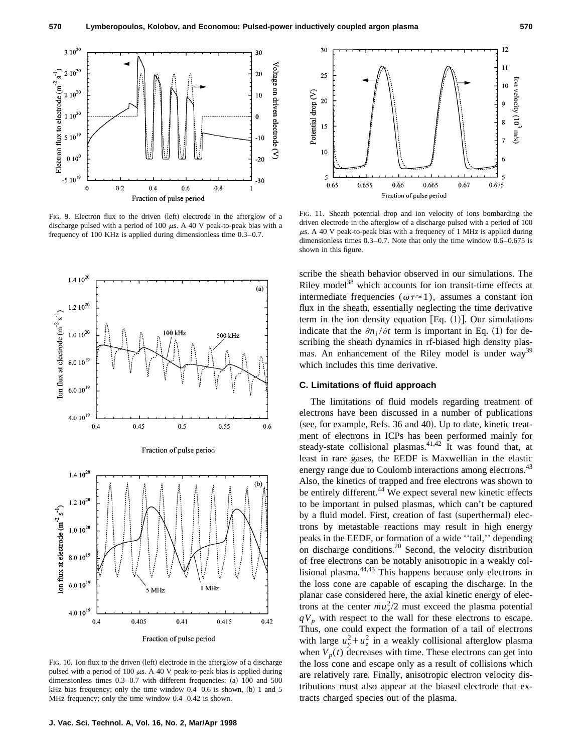

FIG. 9. Electron flux to the driven (left) electrode in the afterglow of a discharge pulsed with a period of 100  $\mu$ s. A 40 V peak-to-peak bias with a frequency of 100 KHz is applied during dimensionless time 0.3–0.7.



FIG. 10. Ion flux to the driven (left) electrode in the afterglow of a discharge pulsed with a period of 100  $\mu$ s. A 40 V peak-to-peak bias is applied during dimensionless times  $0.3-0.7$  with different frequencies: (a) 100 and 500 kHz bias frequency; only the time window  $0.4-0.6$  is shown, (b) 1 and 5 MHz frequency; only the time window 0.4–0.42 is shown.



FIG. 11. Sheath potential drop and ion velocity of ions bombarding the driven electrode in the afterglow of a discharge pulsed with a period of 100  $\mu$ s. A 40 V peak-to-peak bias with a frequency of 1 MHz is applied during dimensionless times 0.3–0.7. Note that only the time window 0.6–0.675 is shown in this figure.

scribe the sheath behavior observed in our simulations. The Riley model<sup>38</sup> which accounts for ion transit-time effects at intermediate frequencies ( $\omega \tau \approx 1$ ), assumes a constant ion flux in the sheath, essentially neglecting the time derivative term in the ion density equation [Eq.  $(1)$ ]. Our simulations indicate that the  $\partial n_i / \partial t$  term is important in Eq. (1) for describing the sheath dynamics in rf-biased high density plasmas. An enhancement of the Riley model is under way<sup>39</sup> which includes this time derivative.

### **C. Limitations of fluid approach**

The limitations of fluid models regarding treatment of electrons have been discussed in a number of publications (see, for example, Refs. 36 and 40). Up to date, kinetic treatment of electrons in ICPs has been performed mainly for steady-state collisional plasmas. $41,42$  It was found that, at least in rare gases, the EEDF is Maxwellian in the elastic energy range due to Coulomb interactions among electrons.<sup>43</sup> Also, the kinetics of trapped and free electrons was shown to be entirely different.<sup>44</sup> We expect several new kinetic effects to be important in pulsed plasmas, which can't be captured by a fluid model. First, creation of fast (superthermal) electrons by metastable reactions may result in high energy peaks in the EEDF, or formation of a wide ''tail,'' depending on discharge conditions.<sup>20</sup> Second, the velocity distribution of free electrons can be notably anisotropic in a weakly collisional plasma.44,45 This happens because only electrons in the loss cone are capable of escaping the discharge. In the planar case considered here, the axial kinetic energy of electrons at the center  $mu_x^2/2$  must exceed the plasma potential  $qV_p$  with respect to the wall for these electrons to escape. Thus, one could expect the formation of a tail of electrons with large  $u_y^2 + u_z^2$  in a weakly collisional afterglow plasma when  $V_p(t)$  decreases with time. These electrons can get into the loss cone and escape only as a result of collisions which are relatively rare. Finally, anisotropic electron velocity distributions must also appear at the biased electrode that extracts charged species out of the plasma.